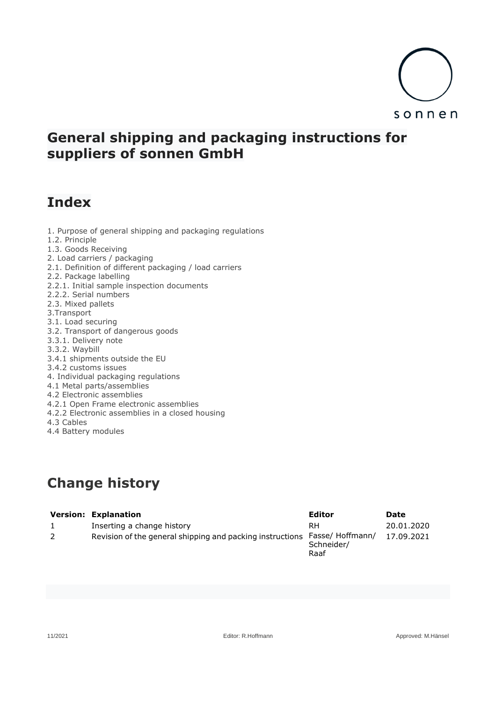

# **General shipping and packaging instructions for suppliers of sonnen GmbH**

# **Index**

1.2. Principle

1.3. Goods Receiving 2. Load carriers / packaging 2.1. Definition of different packaging / load carriers 2.2. Package labelling 2.2.1. Initial sample inspection documents 2.2.2. Serial numbers 2.3. Mixed pallets 3.Transport 3.1. Load securing 3.2. Transport of dangerous goods 3.3.1. Delivery note 3.3.2. Waybill 3.4.1 shipments outside the EU 3.4.2 customs issues 4. Individual packaging regulations 4.1 Metal parts/assemblies 4.2 Electronic assemblies 4.2.1 Open Frame electronic assemblies 4.2.2 Electronic assemblies in a closed housing 4.3 Cables 4.4 Battery modules

1. Purpose of general shipping and packaging regulations

# **Change history**

| <b>Version: Explanation</b>                               | Editor                                 | Date       |
|-----------------------------------------------------------|----------------------------------------|------------|
| Inserting a change history                                | RH                                     | 20.01.2020 |
| Revision of the general shipping and packing instructions | Fasse/ Hoffmann/<br>Schneider/<br>Raaf | 17.09.2021 |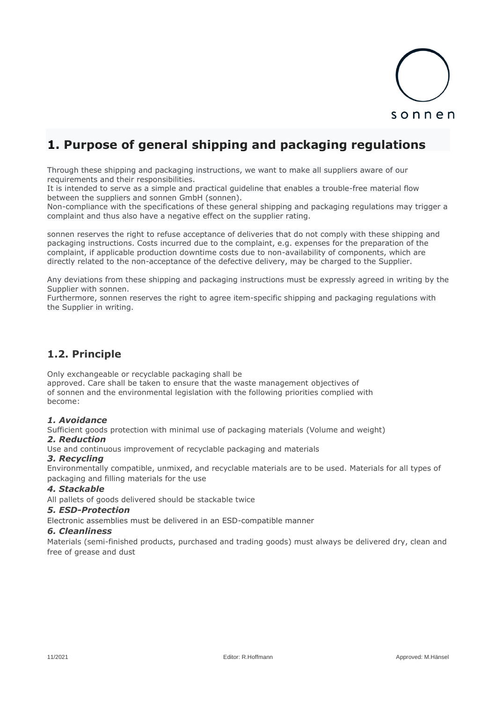

# **1. Purpose of general shipping and packaging regulations**

Through these shipping and packaging instructions, we want to make all suppliers aware of our requirements and their responsibilities.

It is intended to serve as a simple and practical guideline that enables a trouble-free material flow between the suppliers and sonnen GmbH (sonnen).

Non-compliance with the specifications of these general shipping and packaging regulations may trigger a complaint and thus also have a negative effect on the supplier rating.

sonnen reserves the right to refuse acceptance of deliveries that do not comply with these shipping and packaging instructions. Costs incurred due to the complaint, e.g. expenses for the preparation of the complaint, if applicable production downtime costs due to non-availability of components, which are directly related to the non-acceptance of the defective delivery, may be charged to the Supplier.

Any deviations from these shipping and packaging instructions must be expressly agreed in writing by the Supplier with sonnen.

Furthermore, sonnen reserves the right to agree item-specific shipping and packaging regulations with the Supplier in writing.

## **1.2. Principle**

Only exchangeable or recyclable packaging shall be

approved. Care shall be taken to ensure that the waste management objectives of of sonnen and the environmental legislation with the following priorities complied with become:

### *1. Avoidance*

Sufficient goods protection with minimal use of packaging materials (Volume and weight) *2. Reduction*

Use and continuous improvement of recyclable packaging and materials

### *3. Recycling*

Environmentally compatible, unmixed, and recyclable materials are to be used. Materials for all types of packaging and filling materials for the use

### *4. Stackable*

All pallets of goods delivered should be stackable twice

#### *5. ESD-Protection*

Electronic assemblies must be delivered in an ESD-compatible manner

### *6. Cleanliness*

Materials (semi-finished products, purchased and trading goods) must always be delivered dry, clean and free of grease and dust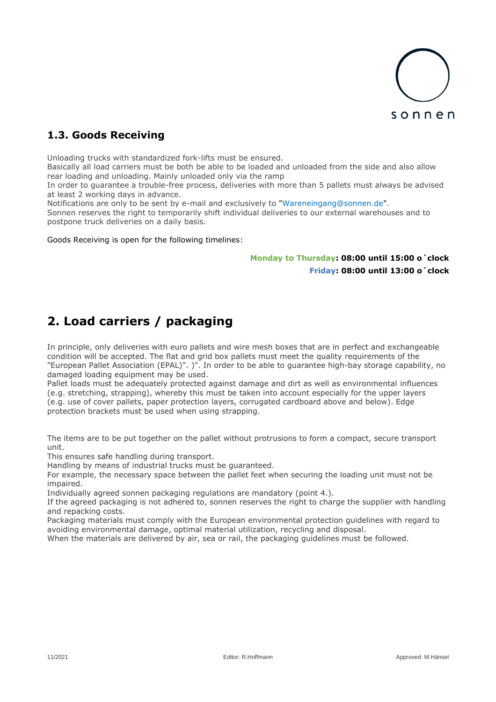

# **1.3. Goods Receiving**

Unloading trucks with standardized fork-lifts must be ensured.

Basically all load carriers must be both be able to be loaded and unloaded from the side and also allow rear loading and unloading. Mainly unloaded only via the ramp

In order to guarantee a trouble-free process, deliveries with more than 5 pallets must always be advised at least 2 working days in advance.

Notifications are only to be sent by e-mail and exclusively to "Wareneingang@sonnen.de". Sonnen reserves the right to temporarily shift individual deliveries to our external warehouses and to postpone truck deliveries on a daily basis.

Goods Receiving is open for the following timelines:

### **Monday to Thursday: 08:00 until 15:00 o´clock Friday: 08:00 until 13:00 o´clock**

# **2. Load carriers / packaging**

In principle, only deliveries with euro pallets and wire mesh boxes that are in perfect and exchangeable condition will be accepted. The flat and grid box pallets must meet the quality requirements of the "European Pallet Association (EPAL)". )". In order to be able to guarantee high-bay storage capability, no damaged loading equipment may be used.

Pallet loads must be adequately protected against damage and dirt as well as environmental influences (e.g. stretching, strapping), whereby this must be taken into account especially for the upper layers (e.g. use of cover pallets, paper protection layers, corrugated cardboard above and below). Edge protection brackets must be used when using strapping.

The items are to be put together on the pallet without protrusions to form a compact, secure transport unit.

This ensures safe handling during transport.

Handling by means of industrial trucks must be guaranteed.

For example, the necessary space between the pallet feet when securing the loading unit must not be impaired.

Individually agreed sonnen packaging regulations are mandatory (point 4.).

If the agreed packaging is not adhered to, sonnen reserves the right to charge the supplier with handling and repacking costs.

Packaging materials must comply with the European environmental protection guidelines with regard to avoiding environmental damage, optimal material utilization, recycling and disposal.

When the materials are delivered by air, sea or rail, the packaging guidelines must be followed.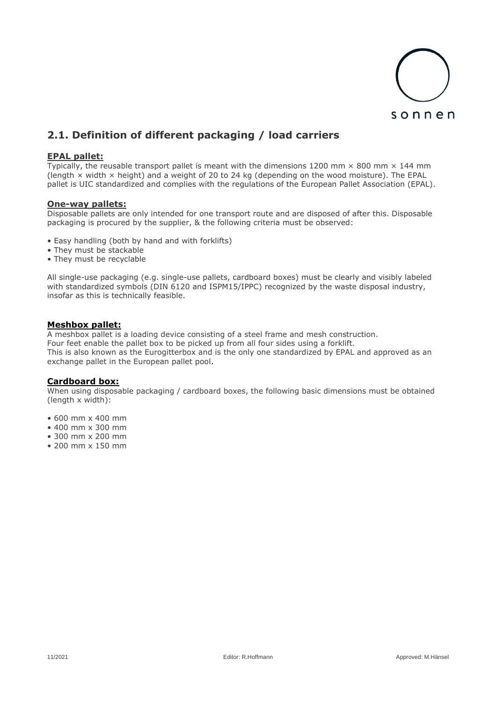

# **2.1. Definition of different packaging / load carriers**

### **EPAL pallet:**

Typically, the reusable transport pallet is meant with the dimensions 1200 mm  $\times$  800 mm  $\times$  144 mm (length  $\times$  width  $\times$  height) and a weight of 20 to 24 kg (depending on the wood moisture). The EPAL pallet is UIC standardized and complies with the regulations of the European Pallet Association (EPAL).

#### **One-way pallets:**

Disposable pallets are only intended for one transport route and are disposed of after this. Disposable packaging is procured by the supplier, & the following criteria must be observed:

- Easy handling (both by hand and with forklifts)
- They must be stackable
- They must be recyclable

All single-use packaging (e.g. single-use pallets, cardboard boxes) must be clearly and visibly labeled with standardized symbols (DIN 6120 and ISPM15/IPPC) recognized by the waste disposal industry, insofar as this is technically feasible.

#### **Meshbox pallet:**

A meshbox pallet is a loading device consisting of a steel frame and mesh construction. Four feet enable the pallet box to be picked up from all four sides using a forklift. This is also known as the Eurogitterbox and is the only one standardized by EPAL and approved as an exchange pallet in the European pallet pool.

### **Cardboard box:**

When using disposable packaging / cardboard boxes, the following basic dimensions must be obtained (length x width):

- 600 mm x 400 mm
- 400 mm x 300 mm
- 300 mm x 200 mm
- 200 mm x 150 mm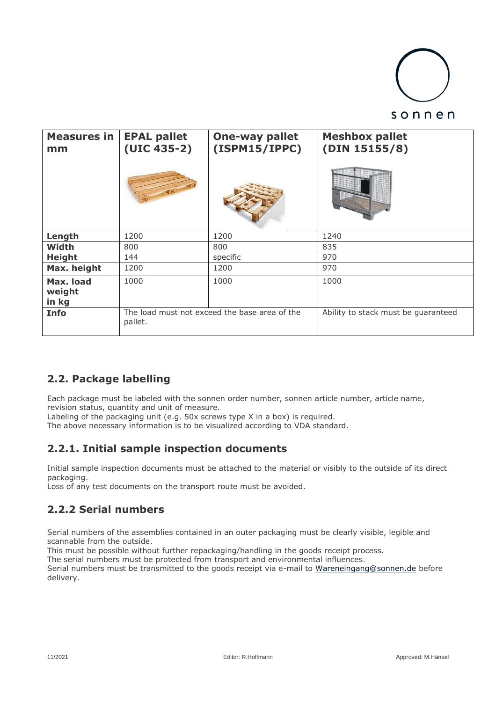

| <b>Measures in</b><br>mm     | <b>EPAL pallet</b><br>$(UIC 435-2)$ | <b>One-way pallet</b><br>(ISPM15/IPPC)        | <b>Meshbox pallet</b><br>(DIN 15155/8) |
|------------------------------|-------------------------------------|-----------------------------------------------|----------------------------------------|
| Length                       | 1200                                | 1200                                          | 1240                                   |
| Width                        | 800                                 | 800                                           | 835                                    |
| <b>Height</b>                | 144                                 | specific                                      | 970                                    |
| Max. height                  | 1200                                | 1200                                          | 970                                    |
| Max. load<br>weight<br>in kg | 1000                                | 1000                                          | 1000                                   |
| Info                         | pallet.                             | The load must not exceed the base area of the | Ability to stack must be guaranteed    |

# **2.2. Package labelling**

Each package must be labeled with the sonnen order number, sonnen article number, article name, revision status, quantity and unit of measure.

Labeling of the packaging unit (e.g. 50x screws type X in a box) is required.

The above necessary information is to be visualized according to VDA standard.

## **2.2.1. Initial sample inspection documents**

Initial sample inspection documents must be attached to the material or visibly to the outside of its direct packaging.

Loss of any test documents on the transport route must be avoided.

## **2.2.2 Serial numbers**

Serial numbers of the assemblies contained in an outer packaging must be clearly visible, legible and scannable from the outside.

This must be possible without further repackaging/handling in the goods receipt process.

The serial numbers must be protected from transport and environmental influences.

Serial numbers must be transmitted to the goods receipt via e-mail to [Wareneingang@sonnen.de](mailto:Wareneingang@sonnen.de) before delivery.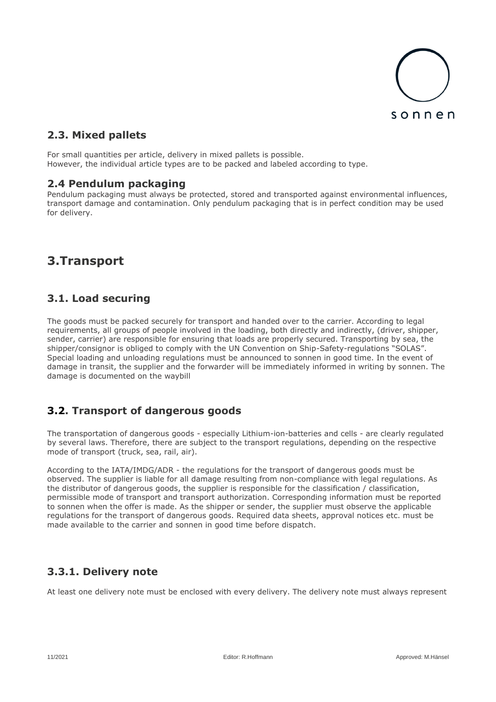

# **2.3. Mixed pallets**

For small quantities per article, delivery in mixed pallets is possible. However, the individual article types are to be packed and labeled according to type.

### **2.4 Pendulum packaging**

Pendulum packaging must always be protected, stored and transported against environmental influences, transport damage and contamination. Only pendulum packaging that is in perfect condition may be used for delivery.

# **3.Transport**

## **3.1. Load securing**

The goods must be packed securely for transport and handed over to the carrier. According to legal requirements, all groups of people involved in the loading, both directly and indirectly, (driver, shipper, sender, carrier) are responsible for ensuring that loads are properly secured. Transporting by sea, the shipper/consignor is obliged to comply with the UN Convention on Ship-Safety-regulations "SOLAS". Special loading and unloading regulations must be announced to sonnen in good time. In the event of damage in transit, the supplier and the forwarder will be immediately informed in writing by sonnen. The damage is documented on the waybill

## **3.2. Transport of dangerous goods**

The transportation of dangerous goods - especially Lithium-ion-batteries and cells - are clearly regulated by several laws. Therefore, there are subject to the transport regulations, depending on the respective mode of transport (truck, sea, rail, air).

According to the IATA/IMDG/ADR - the regulations for the transport of dangerous goods must be observed. The supplier is liable for all damage resulting from non-compliance with legal regulations. As the distributor of dangerous goods, the supplier is responsible for the classification / classification, permissible mode of transport and transport authorization. Corresponding information must be reported to sonnen when the offer is made. As the shipper or sender, the supplier must observe the applicable regulations for the transport of dangerous goods. Required data sheets, approval notices etc. must be made available to the carrier and sonnen in good time before dispatch.

## **3.3.1. Delivery note**

At least one delivery note must be enclosed with every delivery. The delivery note must always represent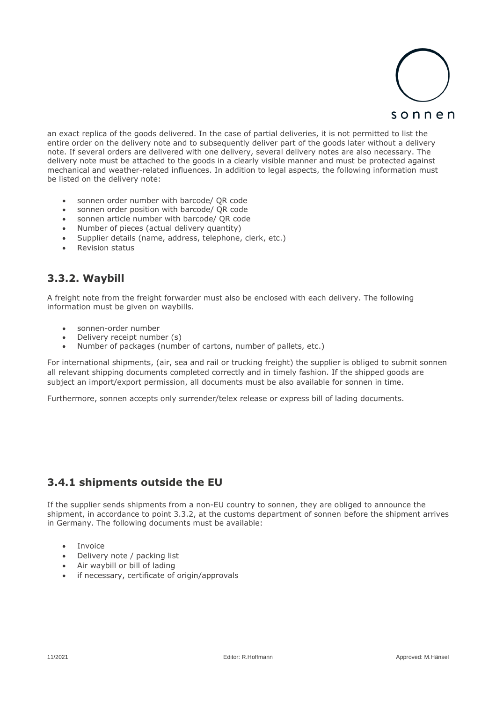

an exact replica of the goods delivered. In the case of partial deliveries, it is not permitted to list the entire order on the delivery note and to subsequently deliver part of the goods later without a delivery note. If several orders are delivered with one delivery, several delivery notes are also necessary. The delivery note must be attached to the goods in a clearly visible manner and must be protected against mechanical and weather-related influences. In addition to legal aspects, the following information must be listed on the delivery note:

- sonnen order number with barcode/ QR code
- sonnen order position with barcode/ QR code
- sonnen article number with barcode/ QR code
- Number of pieces (actual delivery quantity)
- Supplier details (name, address, telephone, clerk, etc.)
- Revision status

## **3.3.2. Waybill**

A freight note from the freight forwarder must also be enclosed with each delivery. The following information must be given on waybills.

- sonnen-order number
- Delivery receipt number (s)
- Number of packages (number of cartons, number of pallets, etc.)

For international shipments, (air, sea and rail or trucking freight) the supplier is obliged to submit sonnen all relevant shipping documents completed correctly and in timely fashion. If the shipped goods are subject an import/export permission, all documents must be also available for sonnen in time.

Furthermore, sonnen accepts only surrender/telex release or express bill of lading documents.

## **3.4.1 shipments outside the EU**

If the supplier sends shipments from a non-EU country to sonnen, they are obliged to announce the shipment, in accordance to point 3.3.2, at the customs department of sonnen before the shipment arrives in Germany. The following documents must be available:

- Invoice
- Delivery note / packing list
- Air waybill or bill of lading
- if necessary, certificate of origin/approvals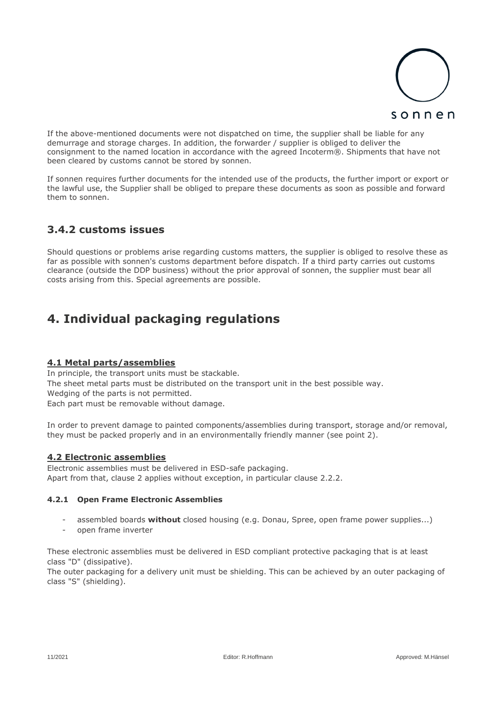

If the above-mentioned documents were not dispatched on time, the supplier shall be liable for any demurrage and storage charges. In addition, the forwarder / supplier is obliged to deliver the consignment to the named location in accordance with the agreed Incoterm®. Shipments that have not been cleared by customs cannot be stored by sonnen.

If sonnen requires further documents for the intended use of the products, the further import or export or the lawful use, the Supplier shall be obliged to prepare these documents as soon as possible and forward them to sonnen.

## **3.4.2 customs issues**

Should questions or problems arise regarding customs matters, the supplier is obliged to resolve these as far as possible with sonnen's customs department before dispatch. If a third party carries out customs clearance (outside the DDP business) without the prior approval of sonnen, the supplier must bear all costs arising from this. Special agreements are possible.

# **4. Individual packaging regulations**

### **4.1 Metal parts/assemblies**

In principle, the transport units must be stackable. The sheet metal parts must be distributed on the transport unit in the best possible way. Wedging of the parts is not permitted. Each part must be removable without damage.

In order to prevent damage to painted components/assemblies during transport, storage and/or removal, they must be packed properly and in an environmentally friendly manner (see point 2).

### **4.2 Electronic assemblies**

Electronic assemblies must be delivered in ESD-safe packaging. Apart from that, clause 2 applies without exception, in particular clause 2.2.2.

### **4.2.1 Open Frame Electronic Assemblies**

- assembled boards **without** closed housing (e.g. Donau, Spree, open frame power supplies...)
- open frame inverter

These electronic assemblies must be delivered in ESD compliant protective packaging that is at least class "D" (dissipative).

The outer packaging for a delivery unit must be shielding. This can be achieved by an outer packaging of class "S" (shielding).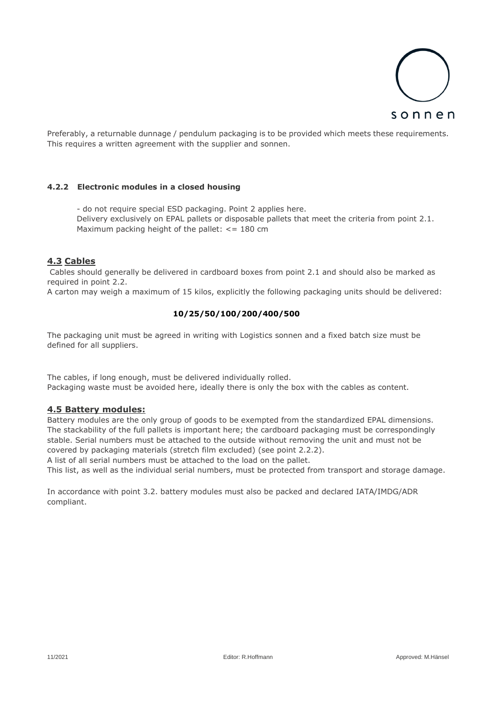

Preferably, a returnable dunnage / pendulum packaging is to be provided which meets these requirements. This requires a written agreement with the supplier and sonnen.

#### **4.2.2 Electronic modules in a closed housing**

- do not require special ESD packaging. Point 2 applies here. Delivery exclusively on EPAL pallets or disposable pallets that meet the criteria from point 2.1. Maximum packing height of the pallet:  $\epsilon$  = 180 cm

### **4.3 Cables**

Cables should generally be delivered in cardboard boxes from point 2.1 and should also be marked as required in point 2.2.

A carton may weigh a maximum of 15 kilos, explicitly the following packaging units should be delivered:

### **10/25/50/100/200/400/500**

The packaging unit must be agreed in writing with Logistics sonnen and a fixed batch size must be defined for all suppliers.

The cables, if long enough, must be delivered individually rolled. Packaging waste must be avoided here, ideally there is only the box with the cables as content.

### **4.5 Battery modules:**

Battery modules are the only group of goods to be exempted from the standardized EPAL dimensions. The stackability of the full pallets is important here; the cardboard packaging must be correspondingly stable. Serial numbers must be attached to the outside without removing the unit and must not be covered by packaging materials (stretch film excluded) (see point 2.2.2).

A list of all serial numbers must be attached to the load on the pallet.

This list, as well as the individual serial numbers, must be protected from transport and storage damage.

In accordance with point 3.2. battery modules must also be packed and declared IATA/IMDG/ADR compliant.